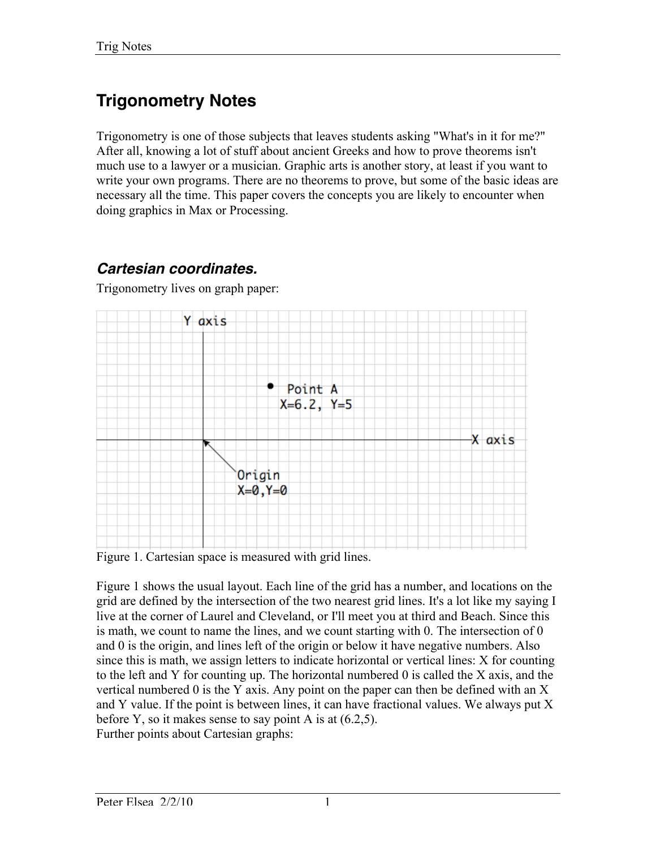# **Trigonometry Notes**

Trigonometry is one of those subjects that leaves students asking "What's in it for me?" After all, knowing a lot of stuff about ancient Greeks and how to prove theorems isn't much use to a lawyer or a musician. Graphic arts is another story, at least if you want to write your own programs. There are no theorems to prove, but some of the basic ideas are necessary all the time. This paper covers the concepts you are likely to encounter when doing graphics in Max or Processing.

## *Cartesian coordinates.*

Trigonometry lives on graph paper:



Figure 1. Cartesian space is measured with grid lines.

Figure 1 shows the usual layout. Each line of the grid has a number, and locations on the grid are defined by the intersection of the two nearest grid lines. It's a lot like my saying I live at the corner of Laurel and Cleveland, or I'll meet you at third and Beach. Since this is math, we count to name the lines, and we count starting with 0. The intersection of 0 and 0 is the origin, and lines left of the origin or below it have negative numbers. Also since this is math, we assign letters to indicate horizontal or vertical lines: X for counting to the left and Y for counting up. The horizontal numbered 0 is called the X axis, and the vertical numbered 0 is the Y axis. Any point on the paper can then be defined with an X and Y value. If the point is between lines, it can have fractional values. We always put X before Y, so it makes sense to say point A is at  $(6.2, 5)$ . Further points about Cartesian graphs: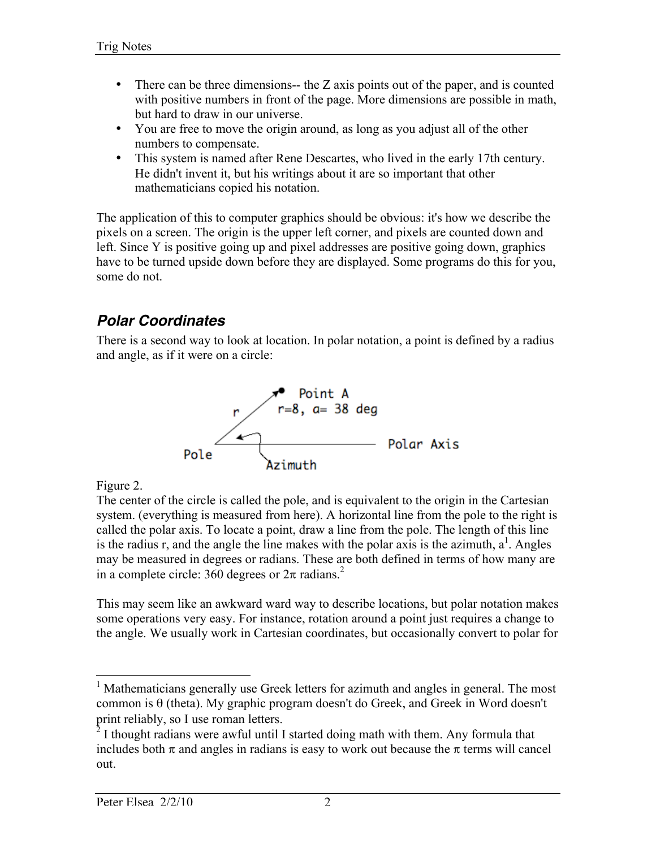- There can be three dimensions—the Z axis points out of the paper, and is counted with positive numbers in front of the page. More dimensions are possible in math, but hard to draw in our universe.
- You are free to move the origin around, as long as you adjust all of the other numbers to compensate.
- This system is named after Rene Descartes, who lived in the early 17th century. He didn't invent it, but his writings about it are so important that other mathematicians copied his notation.

The application of this to computer graphics should be obvious: it's how we describe the pixels on a screen. The origin is the upper left corner, and pixels are counted down and left. Since Y is positive going up and pixel addresses are positive going down, graphics have to be turned upside down before they are displayed. Some programs do this for you, some do not.

## *Polar Coordinates*

There is a second way to look at location. In polar notation, a point is defined by a radius and angle, as if it were on a circle:



Figure 2.

The center of the circle is called the pole, and is equivalent to the origin in the Cartesian system. (everything is measured from here). A horizontal line from the pole to the right is called the polar axis. To locate a point, draw a line from the pole. The length of this line is the radius r, and the angle the line makes with the polar axis is the azimuth,  $a^1$ . Angles may be measured in degrees or radians. These are both defined in terms of how many are in a complete circle: 360 degrees or  $2\pi$  radians.<sup>2</sup>

This may seem like an awkward ward way to describe locations, but polar notation makes some operations very easy. For instance, rotation around a point just requires a change to the angle. We usually work in Cartesian coordinates, but occasionally convert to polar for

<sup>&</sup>lt;sup>1</sup> Mathematicians generally use Greek letters for azimuth and angles in general. The most common is θ (theta). My graphic program doesn't do Greek, and Greek in Word doesn't print reliably, so I use roman letters.

 $2^{2}$  I thought radians were awful until I started doing math with them. Any formula that includes both  $\pi$  and angles in radians is easy to work out because the  $\pi$  terms will cancel out.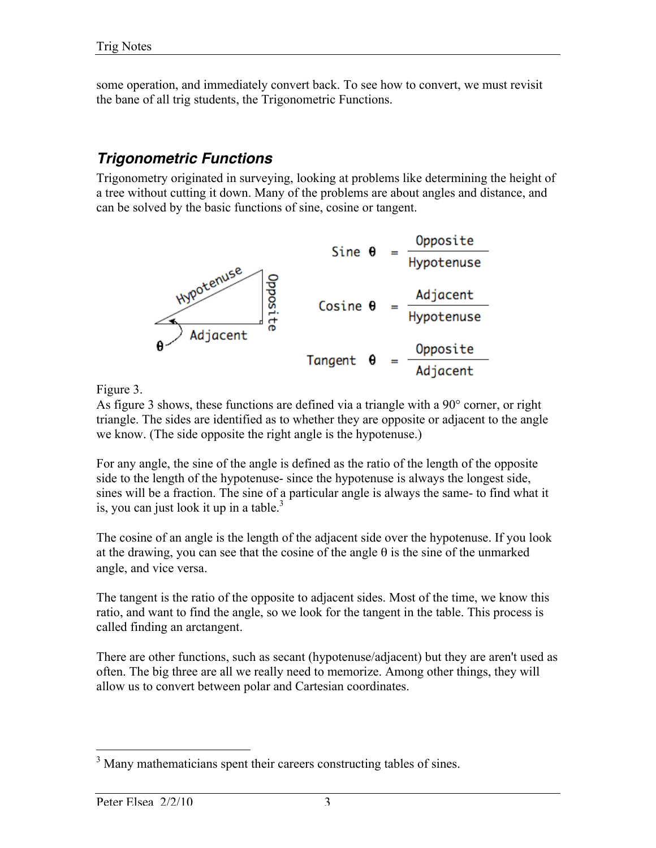some operation, and immediately convert back. To see how to convert, we must revisit the bane of all trig students, the Trigonometric Functions.

#### *Trigonometric Functions*

Trigonometry originated in surveying, looking at problems like determining the height of a tree without cutting it down. Many of the problems are about angles and distance, and can be solved by the basic functions of sine, cosine or tangent.



Figure 3.

As figure 3 shows, these functions are defined via a triangle with a 90° corner, or right triangle. The sides are identified as to whether they are opposite or adjacent to the angle we know. (The side opposite the right angle is the hypotenuse.)

For any angle, the sine of the angle is defined as the ratio of the length of the opposite side to the length of the hypotenuse- since the hypotenuse is always the longest side, sines will be a fraction. The sine of a particular angle is always the same- to find what it is, you can just look it up in a table. $3$ 

The cosine of an angle is the length of the adjacent side over the hypotenuse. If you look at the drawing, you can see that the cosine of the angle  $\theta$  is the sine of the unmarked angle, and vice versa.

The tangent is the ratio of the opposite to adjacent sides. Most of the time, we know this ratio, and want to find the angle, so we look for the tangent in the table. This process is called finding an arctangent.

There are other functions, such as secant (hypotenuse/adjacent) but they are aren't used as often. The big three are all we really need to memorize. Among other things, they will allow us to convert between polar and Cartesian coordinates.

<sup>&</sup>lt;sup>3</sup> Many mathematicians spent their careers constructing tables of sines.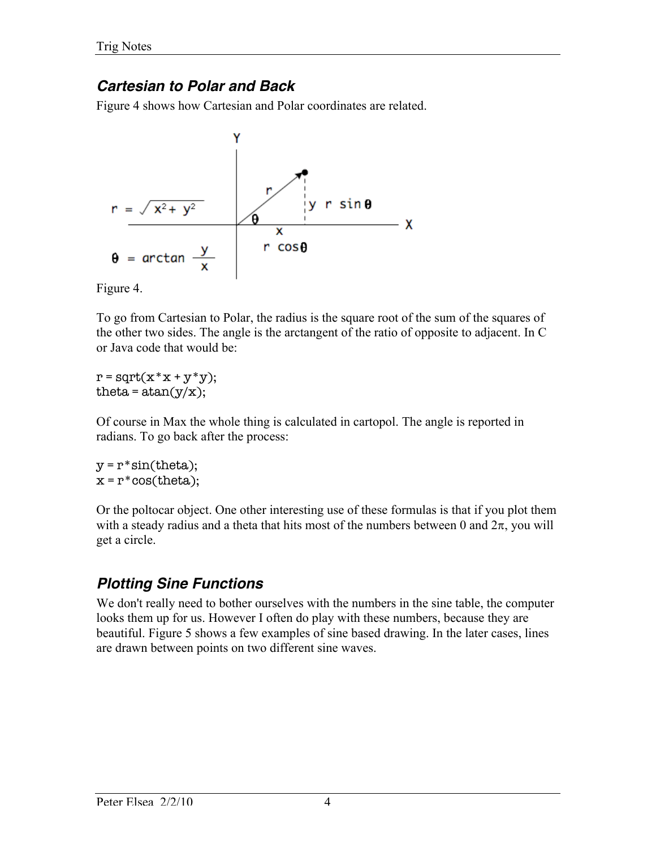### *Cartesian to Polar and Back*

Figure 4 shows how Cartesian and Polar coordinates are related.



Figure 4.

To go from Cartesian to Polar, the radius is the square root of the sum of the squares of the other two sides. The angle is the arctangent of the ratio of opposite to adjacent. In C or Java code that would be:

 $r = sqrt(x * x + y * y);$ theta =  $atan(y/x)$ ;

Of course in Max the whole thing is calculated in cartopol. The angle is reported in radians. To go back after the process:

 $y = r * sin(theta);$  $x = r * cos(theta);$ 

Or the poltocar object. One other interesting use of these formulas is that if you plot them with a steady radius and a theta that hits most of the numbers between 0 and  $2\pi$ , you will get a circle.

## *Plotting Sine Functions*

We don't really need to bother ourselves with the numbers in the sine table, the computer looks them up for us. However I often do play with these numbers, because they are beautiful. Figure 5 shows a few examples of sine based drawing. In the later cases, lines are drawn between points on two different sine waves.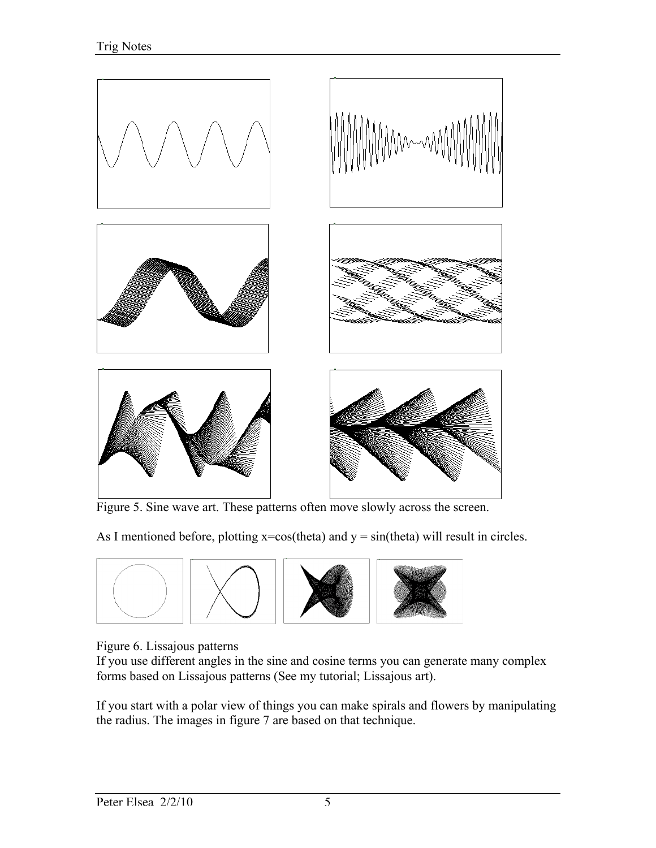

Figure 5. Sine wave art. These patterns often move slowly across the screen.

As I mentioned before, plotting  $x = cos$  (theta) and  $y = sin$  (theta) will result in circles.



#### Figure 6. Lissajous patterns

If you use different angles in the sine and cosine terms you can generate many complex forms based on Lissajous patterns (See my tutorial; Lissajous art).

If you start with a polar view of things you can make spirals and flowers by manipulating the radius. The images in figure 7 are based on that technique.